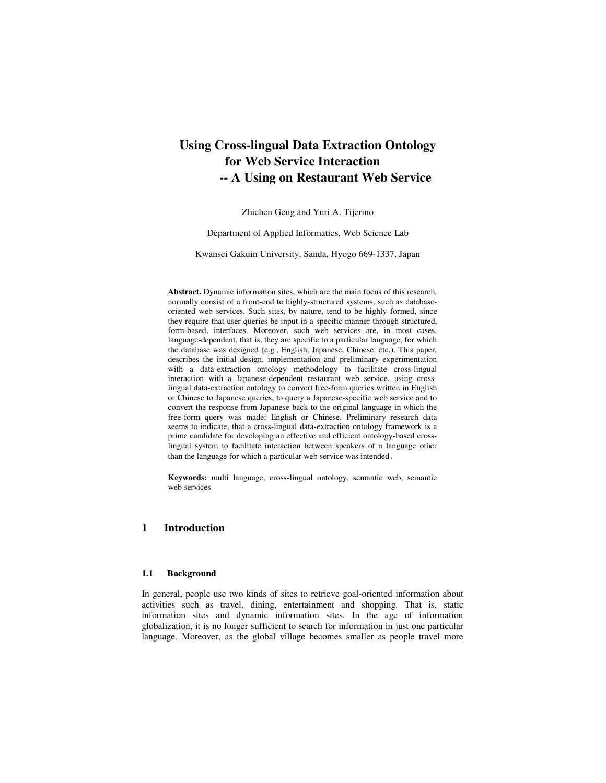# **Using Cross-lingual Data Extraction Ontology for Web Service Interaction -- A Using on Restaurant Web Service**

Zhichen Geng and Yuri A. Tijerino

Department of Applied Informatics, Web Science Lab

Kwansei Gakuin University, Sanda, Hyogo 669-1337, Japan

**Abstract.** Dynamic information sites, which are the main focus of this research, normally consist of a front-end to highly-structured systems, such as databaseoriented web services. Such sites, by nature, tend to be highly formed, since they require that user queries be input in a specific manner through structured, form-based, interfaces. Moreover, such web services are, in most cases, language-dependent, that is, they are specific to a particular language, for which the database was designed (e.g., English, Japanese, Chinese, etc.). This paper, describes the initial design, implementation and preliminary experimentation with a data-extraction ontology methodology to facilitate cross-lingual interaction with a Japanese-dependent restaurant web service, using crosslingual data-extraction ontology to convert free-form queries written in English or Chinese to Japanese queries, to query a Japanese-specific web service and to convert the response from Japanese back to the original language in which the free-form query was made: English or Chinese. Preliminary research data seems to indicate, that a cross-lingual data-extraction ontology framework is a prime candidate for developing an effective and efficient ontology-based crosslingual system to facilitate interaction between speakers of a language other than the language for which a particular web service was intended。

**Keywords:** multi language, cross-lingual ontology, semantic web, semantic web services

# **1 Introduction**

### **1.1 Background**

In general, people use two kinds of sites to retrieve goal-oriented information about activities such as travel, dining, entertainment and shopping. That is, static information sites and dynamic information sites. In the age of information globalization, it is no longer sufficient to search for information in just one particular language. Moreover, as the global village becomes smaller as people travel more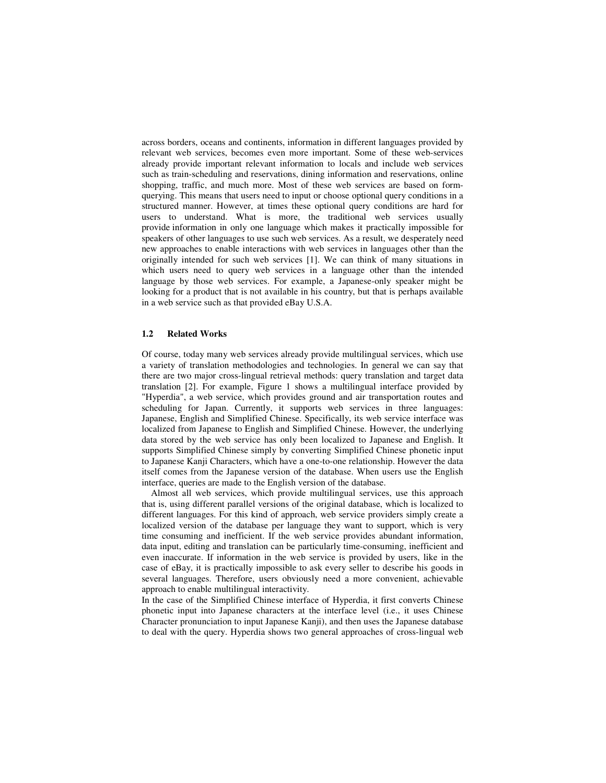across borders, oceans and continents, information in different languages provided by relevant web services, becomes even more important. Some of these web-services already provide important relevant information to locals and include web services such as train-scheduling and reservations, dining information and reservations, online shopping, traffic, and much more. Most of these web services are based on formquerying. This means that users need to input or choose optional query conditions in a structured manner. However, at times these optional query conditions are hard for users to understand. What is more, the traditional web services usually provide information in only one language which makes it practically impossible for speakers of other languages to use such web services. As a result, we desperately need new approaches to enable interactions with web services in languages other than the originally intended for such web services [1]. We can think of many situations in which users need to query web services in a language other than the intended language by those web services. For example, a Japanese-only speaker might be looking for a product that is not available in his country, but that is perhaps available in a web service such as that provided eBay U.S.A.

#### **1.2 Related Works**

Of course, today many web services already provide multilingual services, which use a variety of translation methodologies and technologies. In general we can say that there are two major cross-lingual retrieval methods: query translation and target data translation [2]. For example, Figure 1 shows a multilingual interface provided by "Hyperdia", a web service, which provides ground and air transportation routes and scheduling for Japan. Currently, it supports web services in three languages: Japanese, English and Simplified Chinese. Specifically, its web service interface was localized from Japanese to English and Simplified Chinese. However, the underlying data stored by the web service has only been localized to Japanese and English. It supports Simplified Chinese simply by converting Simplified Chinese phonetic input to Japanese Kanji Characters, which have a one-to-one relationship. However the data itself comes from the Japanese version of the database. When users use the English interface, queries are made to the English version of the database.

Almost all web services, which provide multilingual services, use this approach that is, using different parallel versions of the original database, which is localized to different languages. For this kind of approach, web service providers simply create a localized version of the database per language they want to support, which is very time consuming and inefficient. If the web service provides abundant information, data input, editing and translation can be particularly time-consuming, inefficient and even inaccurate. If information in the web service is provided by users, like in the case of eBay, it is practically impossible to ask every seller to describe his goods in several languages. Therefore, users obviously need a more convenient, achievable approach to enable multilingual interactivity.

In the case of the Simplified Chinese interface of Hyperdia, it first converts Chinese phonetic input into Japanese characters at the interface level (i.e., it uses Chinese Character pronunciation to input Japanese Kanji), and then uses the Japanese database to deal with the query. Hyperdia shows two general approaches of cross-lingual web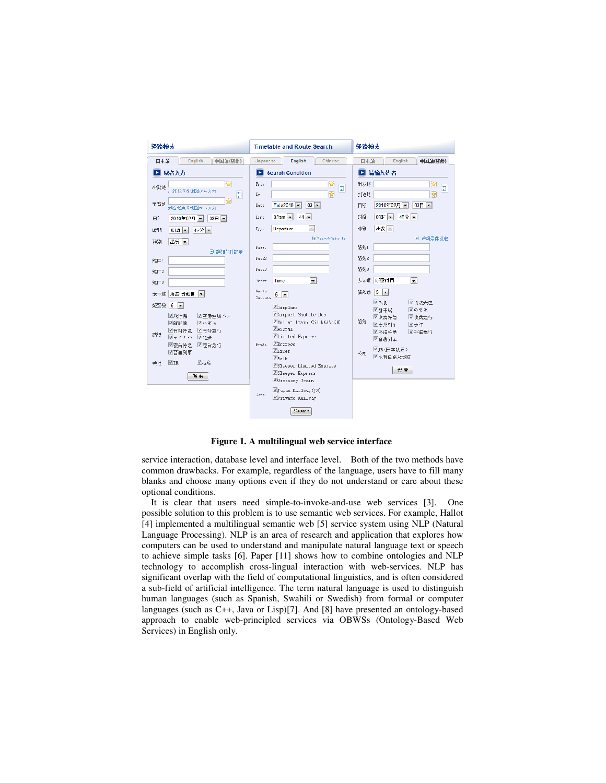

**Figure 1. A multilingual web service interface** 

service interaction, database level and interface level. Both of the two methods have common drawbacks. For example, regardless of the language, users have to fill many blanks and choose many options even if they do not understand or care about these optional conditions.

It is clear that users need simple-to-invoke-and-use web services [3]. One possible solution to this problem is to use semantic web services. For example, Hallot [4] implemented a multilingual semantic web [5] service system using NLP (Natural Language Processing). NLP is an area of research and application that explores how computers can be used to understand and manipulate natural language text or speech to achieve simple tasks [6]. Paper [11] shows how to combine ontologies and NLP technology to accomplish cross-lingual interaction with web-services. NLP has significant overlap with the field of computational linguistics, and is often considered a sub-field of artificial intelligence. The term natural language is used to distinguish human languages (such as Spanish, Swahili or Swedish) from formal or computer languages (such as C++, Java or Lisp)[7]. And [8] have presented an ontology-based approach to enable web-principled services via OBWSs (Ontology-Based Web Services) in English only.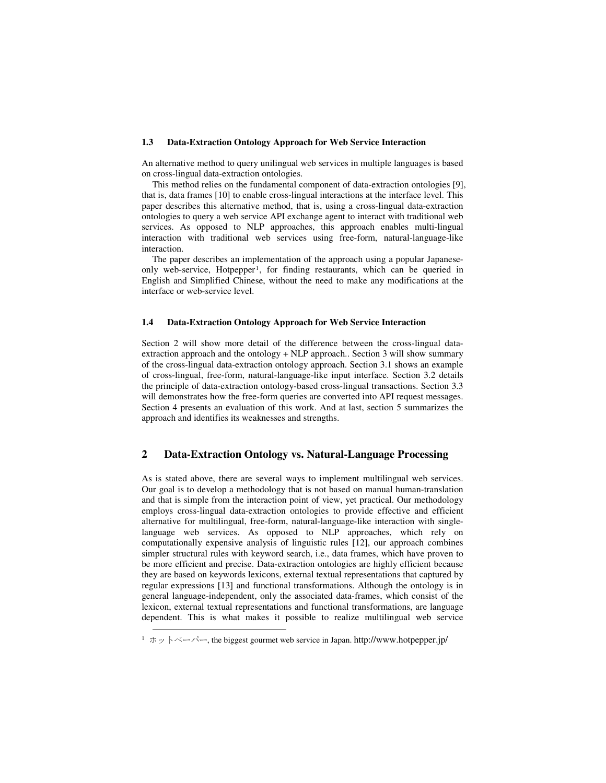#### **1.3 Data-Extraction Ontology Approach for Web Service Interaction**

An alternative method to query unilingual web services in multiple languages is based on cross-lingual data-extraction ontologies.

This method relies on the fundamental component of data-extraction ontologies [9], that is, data frames [10] to enable cross-lingual interactions at the interface level. This paper describes this alternative method, that is, using a cross-lingual data-extraction ontologies to query a web service API exchange agent to interact with traditional web services. As opposed to NLP approaches, this approach enables multi-lingual interaction with traditional web services using free-form, natural-language-like interaction.

The paper describes an implementation of the approach using a popular Japaneseonly web-service, Hotpepper<sup>1</sup>, for finding restaurants, which can be queried in English and Simplified Chinese, without the need to make any modifications at the interface or web-service level.

#### **1.4 Data-Extraction Ontology Approach for Web Service Interaction**

Section 2 will show more detail of the difference between the cross-lingual dataextraction approach and the ontology + NLP approach.. Section 3 will show summary of the cross-lingual data-extraction ontology approach. Section 3.1 shows an example of cross-lingual, free-form, natural-language-like input interface. Section 3.2 details the principle of data-extraction ontology-based cross-lingual transactions. Section 3.3 will demonstrates how the free-form queries are converted into API request messages. Section 4 presents an evaluation of this work. And at last, section 5 summarizes the approach and identifies its weaknesses and strengths.

## **2 Data-Extraction Ontology vs. Natural-Language Processing**

As is stated above, there are several ways to implement multilingual web services. Our goal is to develop a methodology that is not based on manual human-translation and that is simple from the interaction point of view, yet practical. Our methodology employs cross-lingual data-extraction ontologies to provide effective and efficient alternative for multilingual, free-form, natural-language-like interaction with singlelanguage web services. As opposed to NLP approaches, which rely on computationally expensive analysis of linguistic rules [12], our approach combines simpler structural rules with keyword search, i.e., data frames, which have proven to be more efficient and precise. Data-extraction ontologies are highly efficient because they are based on keywords lexicons, external textual representations that captured by regular expressions [13] and functional transformations. Although the ontology is in general language-independent, only the associated data-frames, which consist of the lexicon, external textual representations and functional transformations, are language dependent. This is what makes it possible to realize multilingual web service

<u>.</u>

 $1 \times y \times \sim \sim \sim$ , the biggest gourmet web service in Japan. http://www.hotpepper.jp/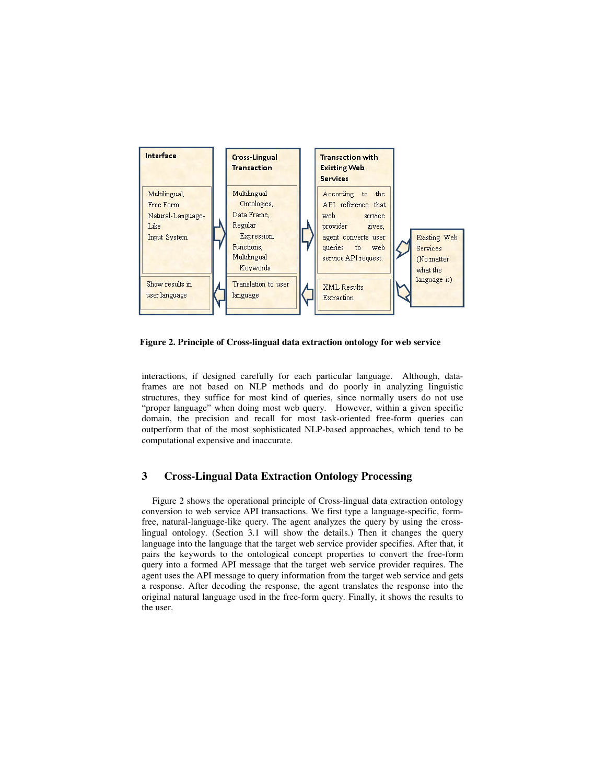

**Figure 2. Principle of Cross-lingual data extraction ontology for web service** 

interactions, if designed carefully for each particular language. Although, dataframes are not based on NLP methods and do poorly in analyzing linguistic structures, they suffice for most kind of queries, since normally users do not use "proper language" when doing most web query. However, within a given specific domain, the precision and recall for most task-oriented free-form queries can outperform that of the most sophisticated NLP-based approaches, which tend to be computational expensive and inaccurate.

## **3 Cross-Lingual Data Extraction Ontology Processing**

Figure 2 shows the operational principle of Cross-lingual data extraction ontology conversion to web service API transactions. We first type a language-specific, formfree, natural-language-like query. The agent analyzes the query by using the crosslingual ontology. (Section 3.1 will show the details.) Then it changes the query language into the language that the target web service provider specifies. After that, it pairs the keywords to the ontological concept properties to convert the free-form query into a formed API message that the target web service provider requires. The agent uses the API message to query information from the target web service and gets a response. After decoding the response, the agent translates the response into the original natural language used in the free-form query. Finally, it shows the results to the user.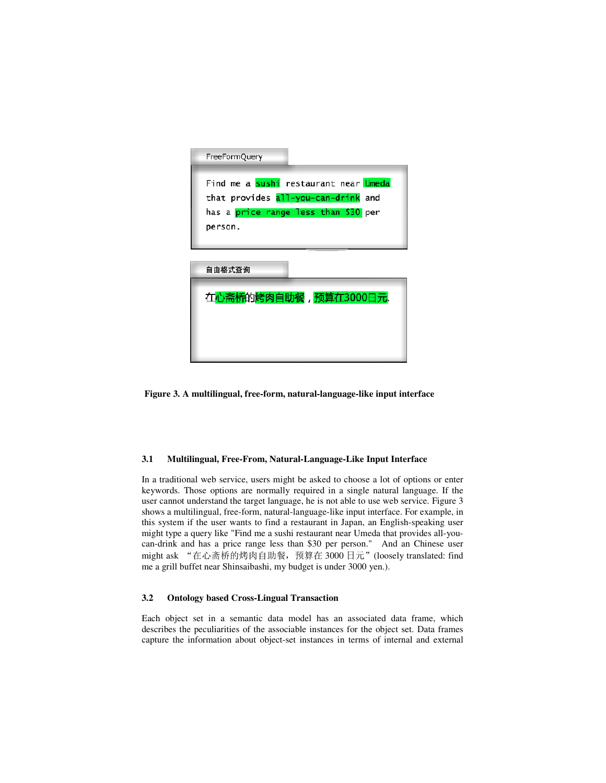

**Figure 3. A multilingual, free-form, natural-language-like input interface** 

#### **3.1 Multilingual, Free-From, Natural-Language-Like Input Interface**

In a traditional web service, users might be asked to choose a lot of options or enter keywords. Those options are normally required in a single natural language. If the user cannot understand the target language, he is not able to use web service. Figure 3 shows a multilingual, free-form, natural-language-like input interface. For example, in this system if the user wants to find a restaurant in Japan, an English-speaking user might type a query like "Find me a sushi restaurant near Umeda that provides all-youcan-drink and has a price range less than \$30 per person." And an Chinese user might ask "在心斋桥的烤肉自助餐,预算在 3000 日元"(loosely translated: find me a grill buffet near Shinsaibashi, my budget is under 3000 yen.).

## **3.2 Ontology based Cross-Lingual Transaction**

Each object set in a semantic data model has an associated data frame, which describes the peculiarities of the associable instances for the object set. Data frames capture the information about object-set instances in terms of internal and external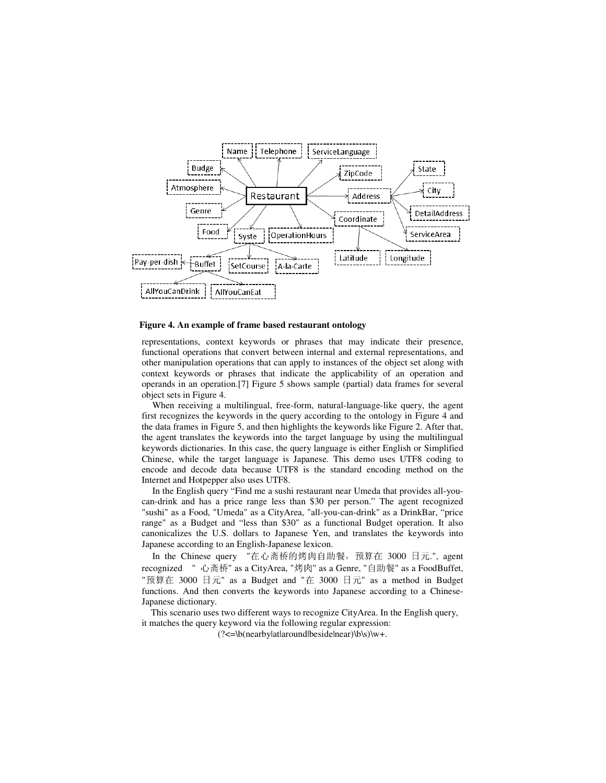

#### **Figure 4. An example of frame based restaurant ontology**

representations, context keywords or phrases that may indicate their presence, functional operations that convert between internal and external representations, and other manipulation operations that can apply to instances of the object set along with context keywords or phrases that indicate the applicability of an operation and operands in an operation.[7] Figure 5 shows sample (partial) data frames for several object sets in Figure 4.

When receiving a multilingual, free-form, natural-language-like query, the agent first recognizes the keywords in the query according to the ontology in Figure 4 and the data frames in Figure 5, and then highlights the keywords like Figure 2. After that, the agent translates the keywords into the target language by using the multilingual keywords dictionaries. In this case, the query language is either English or Simplified Chinese, while the target language is Japanese. This demo uses UTF8 coding to encode and decode data because UTF8 is the standard encoding method on the Internet and Hotpepper also uses UTF8.

In the English query "Find me a sushi restaurant near Umeda that provides all-youcan-drink and has a price range less than \$30 per person." The agent recognized "sushi" as a Food, "Umeda" as a CityArea, "all-you-can-drink" as a DrinkBar, "price range" as a Budget and "less than \$30" as a functional Budget operation. It also canonicalizes the U.S. dollars to Japanese Yen, and translates the keywords into Japanese according to an English-Japanese lexicon.

In the Chinese query "在心斋桥的烤肉自助餐,预算在 3000 日元.", agent recognized " 心斋桥" as a CityArea, "烤肉" as a Genre, "自助餐" as a FoodBuffet, "预算在 3000 日元" as a Budget and "在 3000 日元" as a method in Budget functions. And then converts the keywords into Japanese according to a Chinese-Japanese dictionary.

This scenario uses two different ways to recognize CityArea. In the English query, it matches the query keyword via the following regular expression:

 $(\frac{?}{\leq}b(\text{nearby}|\text{at}|\text{or}|\text{be}|\text{at}|\text{be})\w +$ .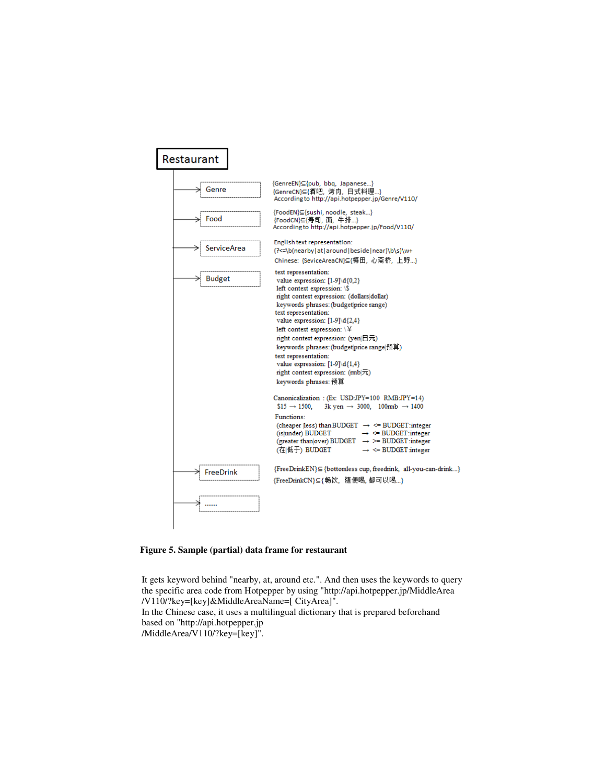| Restaurant         |                                                                                                                                                                                                                                                                                                                                                                                                                                                                                                                                                                                                                                                                                                                                                                                                                                                                                                                              |
|--------------------|------------------------------------------------------------------------------------------------------------------------------------------------------------------------------------------------------------------------------------------------------------------------------------------------------------------------------------------------------------------------------------------------------------------------------------------------------------------------------------------------------------------------------------------------------------------------------------------------------------------------------------------------------------------------------------------------------------------------------------------------------------------------------------------------------------------------------------------------------------------------------------------------------------------------------|
| Genre              | {GenreEN}⊆{pub, bbq, Japanese}<br>{GenreCN}⊆{酒吧, 烤肉, 日式料理}<br>According to http://api.hotpepper.jp/Genre/V110/                                                                                                                                                                                                                                                                                                                                                                                                                                                                                                                                                                                                                                                                                                                                                                                                               |
| Food               | {FoodEN}⊆{sushi, noodle, steak}<br>{FoodCN}⊆{寿司, 面, 牛排}<br>According to http://api.hotpepper.jp/Food/V110/                                                                                                                                                                                                                                                                                                                                                                                                                                                                                                                                                                                                                                                                                                                                                                                                                   |
| <b>ServiceArea</b> | English text representation:<br>(?<=\b(nearby at around beside near)\b\s)\w+<br>Chinese: {SeviceAreaCN}⊆{梅田, 心斋桥, 上野}                                                                                                                                                                                                                                                                                                                                                                                                                                                                                                                                                                                                                                                                                                                                                                                                        |
| <b>Budget</b>      | text representation:<br>value expression: $[1-9]\d{0,2}$<br>left context expression: \\$<br>right context expression: (dollars dollar)<br>keywords phrases: (budget price range)<br>text representation:<br>value expression: $[1-9] \d{2,4}$<br>left context expression: \ \#<br>right context expression: (yen $\boxplus \overline{\pi}$ )<br>keywords phrases: (budgetprice range 预算)<br>text representation:<br>value expression: [1-9]\d{1,4}<br>right context expression: $(mb \overline{\tau})$<br>keywords phrases: 预算<br>Canonicalization : (Ex: USD:JPY=100 RMB:JPY=14)<br>$$15 \rightarrow 1500.$<br>3k yen $\rightarrow$ 3000, 100rmb $\rightarrow$ 1400<br>Functions:<br>(cheaper [less) than BUDGET $\rightarrow$ <= BUDGET:integer<br>(is under) BUDGET<br>$\rightarrow$ <= BUDGET:integer<br>(greater than over) BUDGET $\rightarrow$ >= BUDGET: integer<br>(在 低于) BUDGET<br>$\rightarrow$ <= BUDGET integer |
| FreeDrink          | {FreeDrinkEN} Sottomless cup, freedrink, all-you-can-drink}<br>{FreeDrinkCN}⊆{畅饮,随便喝,都可以喝}                                                                                                                                                                                                                                                                                                                                                                                                                                                                                                                                                                                                                                                                                                                                                                                                                                   |
|                    |                                                                                                                                                                                                                                                                                                                                                                                                                                                                                                                                                                                                                                                                                                                                                                                                                                                                                                                              |

**Figure 5. Sample (partial) data frame for restaurant** 

It gets keyword behind "nearby, at, around etc.". And then uses the keywords to query the specific area code from Hotpepper by using "http://api.hotpepper.jp/MiddleArea /V110/?key=[key]&MiddleAreaName=[ CityArea]". In the Chinese case, it uses a multilingual dictionary that is prepared beforehand based on "http://api.hotpepper.jp /MiddleArea/V110/?key=[key]".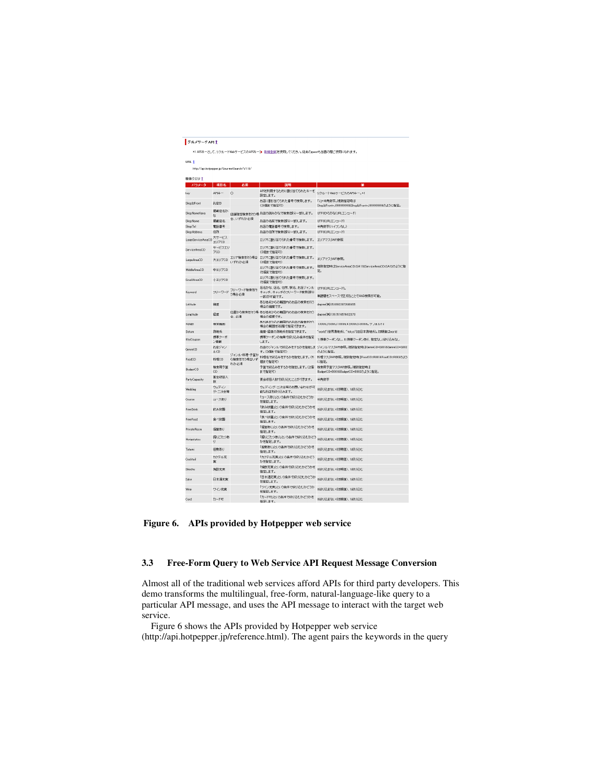| グルメサーチAPI1          |                           |                                            | *1 AP3キーとして、リクルートWebサービスのAP3キー[p 新規登録]を使用してください。従来のgues代当面の間ご使用になれます。 |                                                                              |
|---------------------|---------------------------|--------------------------------------------|-----------------------------------------------------------------------|------------------------------------------------------------------------------|
| URL 1               |                           |                                            |                                                                       |                                                                              |
|                     |                           | http://apihotpepper.jp/GourmetSearch/V110/ |                                                                       |                                                                              |
| 検索クエリ 1             |                           |                                            |                                                                       |                                                                              |
| パラメータ               | 項目名                       | 京宿                                         | <b>1088</b>                                                           | 倩                                                                            |
| key                 | AP2キー                     | $\circ$                                    | APIを利用するために割り当てられたキーを<br>設定します。                                       | リクルートWebサービスのAPIキー。*1                                                        |
| ShopIdFront         | お店ID                      |                                            | お店に割り当てられた番号で検索します。<br>(20個まで指定可)                                     | 「JJ+半角数字。 複数指定時は<br>ShopIdFront=J999999998ShopIdFront=J999999998のように指定。      |
| ShopNameKana        | 掲載店名か<br>ta               |                                            | 店舗指定検索を行う場お店の読みかなで検索(部分一致)します。                                        | UTF8ひらがな(URLエンコード)                                                           |
| ShopName            | 掲載店名                      | 合、いずれか必須                                   | お店の名前で検索(部分一致)します。                                                    | UTF8(URLエンコード)                                                               |
| ShopTel             | 電話番号                      |                                            | お店の電話番号で検索します。                                                        | 半角数字(ハイブンなし)                                                                 |
| Shop Address        | 住所                        |                                            | お店の住所で検索(部分一致)します。                                                    | UTF8(URLIL'>=+F)                                                             |
| LanneService AreaCD | 大サービス<br>エリアCD            |                                            | エリアに割り当てられた番号で検索します。                                                  | エリアマスタAPI参照                                                                  |
| Service AreaCD      | サービスエリ<br>7 <sub>CD</sub> |                                            | エリアに割り当てられた番号で検索します。<br>(3個まで指定可)                                     |                                                                              |
| LangeAreaCD         | 大エリアCD                    | エリア検索を行う場合<br>いずれか必須                       | エリアに割り当てられた番号で検索します。<br>(3個まで指定可)                                     | エリアマスタAPI参照。                                                                 |
| MiddleAreaCD        | 中エリアCD                    |                                            | エリアに割り当てられた番号で検索します。<br>(5個まで指定可)                                     | 複数指定時はServiceAreaCD=SA11&ServiceAreaCD=SA12のように指<br>完.                       |
| SmallAreaCD         | 小エリアCD                    |                                            | エリアに割り当てられた番号で検索します。<br>(5個まで指定可)                                     |                                                                              |
|                     |                           | フリーワード検索を行                                 | 店名かな、店名、住所、駅名、お店ジャンル                                                  | UTF8(URLエンコード)。                                                              |
| Keyword             | フリーワード                    | う場合必須                                      | キャッチ、キャッチのフリーワード検索(部分<br>一致)が可能です。                                    | 単語間をスペースで区切ることでAND検索が可能。                                                     |
| Latitude            | 搜度                        |                                            | ある地点からの範囲内のお店の検索を行う<br>場合の維度です。                                       | degree(伊] 35.66922072646455                                                  |
| Longitude           | 経度                        | 合、必須                                       | 位置から検索を行う場 ある地点からの範囲内のお店の検索を行う<br>場合の経度です。                            | degree(例) 139.7614574432373                                                  |
| Ranke               | 横索鞋圈                      |                                            | ある地点からの範囲内のお店の検索を行う<br>場合の範囲を5段階で指定できます。                              | 1:300m,2500m,3 1000m,4:2000m,5:3000m, "/*///1-3                              |
| Datum               | 测地系                       |                                            | 捜産・経度の測地系を指定できます。                                                     | "world"(世界測地系)、"tokyo"(旧日本測地系)。初期值はworld                                     |
| KtaiCoupon          | 携帯クーポ<br>ン掲載              |                                            | 携帯クーポンの有無で絞り込み条件を指定<br>します。                                           | 1:携帯クーポンなし、0:携帯クーポンあり、指定なし:続り込みなし                                            |
| GenreCD             | お店ジャン<br><b>IDCD</b>      | ジャンル·料理·予算か                                | す。(3個まで指定可)                                                           | お店のジャンルで絞込みをするかを指定しま ジャンルマスタAPI参照。複数指定時はGenreCD=G001&GenreCD=G002<br>のように指定。 |
| FoodCD              | 料理CD                      | ら検索を行う場合いず<br>れか必須                         | 料理名で絞込みをするかを指定します。(6<br>個まで指定可)                                       | 料理マスタAPI参照。複数指定時はFoodCD=R0018FoodCD=R002のよう<br>に指定。                          |
| <b>BudgetCD</b>     | 検索用予算<br>CD               |                                            | 予算で絞込みをするかを指定します。(2個<br>まで指定可)                                        | 検索用予算マスタAPI参照。複数指定時は<br>BudgetCD=B001&BudgetCD=B002の上うに指定。                   |
| PartyCapacity       | 実会収容人<br>27               |                                            | 宴会収容人数で絞り込むことができます。                                                   | 半角敌字                                                                         |
| Wedding             | ウェディン<br>グ・二次会等           |                                            | ウェディング・二次会等のお問い合わせが可<br>能なお店を絞り込みます。                                  | 0級り込まない(初期値)、1級り込む                                                           |
| Course              | コースあり                     |                                            | 「コースあり」という条件で絞り込むかどうか<br>を指定します。                                      | 0級リ込まない(初期値)、1級リ込む                                                           |
| FreeDrink           | 飲み物題                      |                                            | 「飲み放題」という条件で絞り込むかどうかを<br>指定します。                                       | 0級リ込まない(初期値)、1級リ込む                                                           |
| FreeFood            | 食べ放題                      |                                            | 「食べ放題」という条件で絞り込むカどうかを<br>指定します。                                       | 0級リ込まない(初期値)、1級リ込む                                                           |
| PrivateRoom         | 個室あり                      |                                            | 「個室あり」という条件で絞り込むかどうかを<br>指定します。                                       | 0級り込まない(初期値)、1級り込む                                                           |
| Horizotatsu         | 探りごたつあ<br>ij              |                                            | 「賜りごたつあり」という条件で絞り込むかどう<br>かき指定します。                                    | 0級り込まない(初期値)、1級り込む                                                           |
| Tatami              | 中数あり                      |                                            | 「座敷あり」という条件で絞り込むかどうかを<br>指定します。                                       | 0級リ込まない(初期値)、1級リ込む                                                           |
| Cocktail            | カクテル充<br>実                |                                            | 「カクテル充実」という条件で絞り込むかどう<br>かを指定します。                                     | 0級り込まない(初期値)、1級り込む                                                           |
| Shochu              | 烧酎充実                      |                                            | 「焼酎充実」という条件で絞り込むかどうかを<br>指定します。                                       | 0級り込まない(初期値)、1級り込む                                                           |
| Sake                | 日本酒充実                     |                                            | 「日本酒充実」という条件で絞り込むかどうか<br>を指定します。                                      | 0級り込まない(初期値)、1級り込む                                                           |
| Wine                | ワイン充実                     |                                            | 「ワイン充実」という条件で絞り込むかどうか<br>を指定します。                                      | 0級リ込まない(初期値)、1級リ込む                                                           |
| Card                | カード可                      |                                            | 「カード可」という条件で絞り込むかどうかを                                                 | 0.約34万人またはい(4月間和前)、1:約34万人まで                                                 |

**Figure 6. APIs provided by Hotpepper web service** 

# **3.3 Free-Form Query to Web Service API Request Message Conversion**

Almost all of the traditional web services afford APIs for third party developers. This demo transforms the multilingual, free-form, natural-language-like query to a particular API message, and uses the API message to interact with the target web service.

Figure 6 shows the APIs provided by Hotpepper web service (http://api.hotpepper.jp/reference.html). The agent pairs the keywords in the query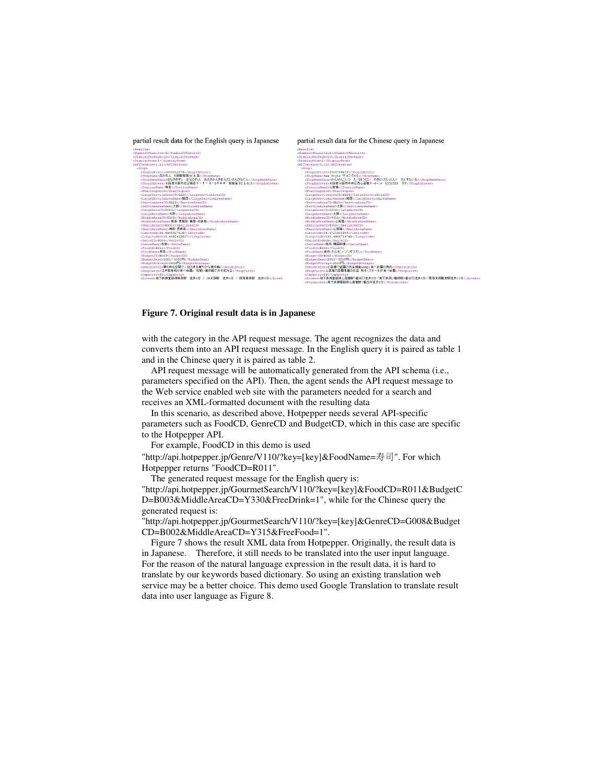

#### **Figure 7. Original result data is in Japanese**

with the category in the API request message. The agent recognizes the data and converts them into an API request message. In the English query it is paired as table 1 and in the Chinese query it is paired as table 2.

API request message will be automatically generated from the API schema (i.e., parameters specified on the API). Then, the agent sends the API request message to the Web service enabled web site with the parameters needed for a search and receives an XML-formatted document with the resulting data

In this scenario, as described above, Hotpepper needs several API-specific parameters such as FoodCD, GenreCD and BudgetCD, which in this case are specific to the Hotpepper API.

For example, FoodCD in this demo is used

"http://api.hotpepper.jp/Genre/V110/?key=[key]&FoodName=寿司". For which Hotpepper returns "FoodCD=R011".

The generated request message for the English query is: "http://api.hotpepper.jp/GourmetSearch/V110/?key=[key]&FoodCD=R011&BudgetC D=B003&MiddleAreaCD=Y330&FreeDrink=1", while for the Chinese query the generated request is:

"http://api.hotpepper.jp/GourmetSearch/V110/?key=[key]&GenreCD=G008&Budget CD=B002&MiddleAreaCD=Y315&FreeFood=1".

Figure 7 shows the result XML data from Hotpepper. Originally, the result data is in Japanese. Therefore, it still needs to be translated into the user input language. For the reason of the natural language expression in the result data, it is hard to translate by our keywords based dictionary. So using an existing translation web service may be a better choice. This demo used Google Translation to translate result data into user language as Figure 8.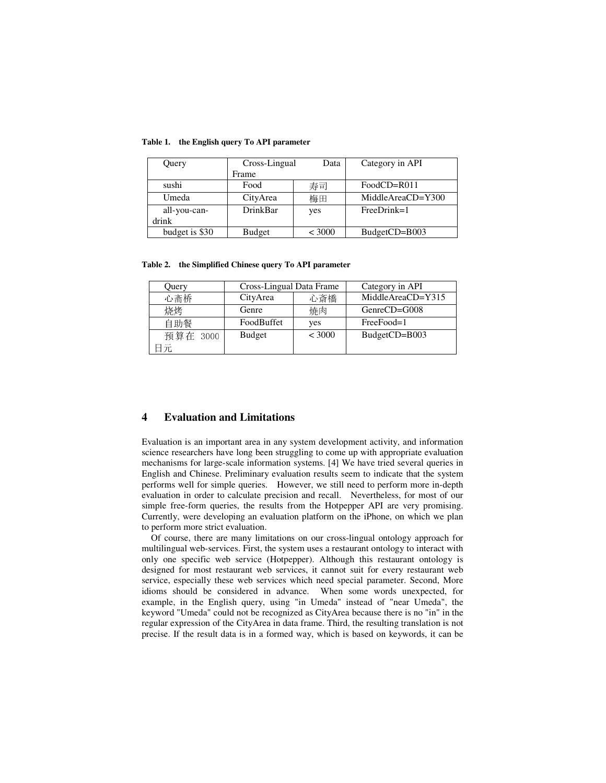| Query          | Cross-Lingual<br>Data |        | Category in API   |
|----------------|-----------------------|--------|-------------------|
|                | Frame                 |        |                   |
| sushi          | Food                  | 寿司     | $FoodCD=R011$     |
| Umeda          | CityArea              | 梅田     | MiddleAreaCD=Y300 |
| all-you-can-   | <b>DrinkBar</b>       | yes    | $FreeDrink=1$     |
| drink          |                       |        |                   |
| budget is \$30 | <b>Budget</b>         | < 3000 | BudgetCD=B003     |

**Table 1. the English query To API parameter** 

**Table 2. the Simplified Chinese query To API parameter** 

| Query    | Cross-Lingual Data Frame |        | Category in API   |
|----------|--------------------------|--------|-------------------|
| 心斋桥      | CityArea                 | 心斎橋    | MiddleAreaCD=Y315 |
| 烧烤       | Genre                    | 燒肉     | $GenreCD = G008$  |
| 自助餐      | FoodBuffet               | yes    | FreeFood=1        |
| 预算在 3000 | <b>Budget</b>            | < 3000 | BudgetCD=B003     |
| 目元       |                          |        |                   |

# **4 Evaluation and Limitations**

Evaluation is an important area in any system development activity, and information science researchers have long been struggling to come up with appropriate evaluation mechanisms for large-scale information systems. [4] We have tried several queries in English and Chinese. Preliminary evaluation results seem to indicate that the system performs well for simple queries. However, we still need to perform more in-depth evaluation in order to calculate precision and recall. Nevertheless, for most of our simple free-form queries, the results from the Hotpepper API are very promising. Currently, were developing an evaluation platform on the iPhone, on which we plan to perform more strict evaluation.

Of course, there are many limitations on our cross-lingual ontology approach for multilingual web-services. First, the system uses a restaurant ontology to interact with only one specific web service (Hotpepper). Although this restaurant ontology is designed for most restaurant web services, it cannot suit for every restaurant web service, especially these web services which need special parameter. Second, More idioms should be considered in advance. When some words unexpected, for example, in the English query, using "in Umeda" instead of "near Umeda", the keyword "Umeda" could not be recognized as CityArea because there is no "in" in the regular expression of the CityArea in data frame. Third, the resulting translation is not precise. If the result data is in a formed way, which is based on keywords, it can be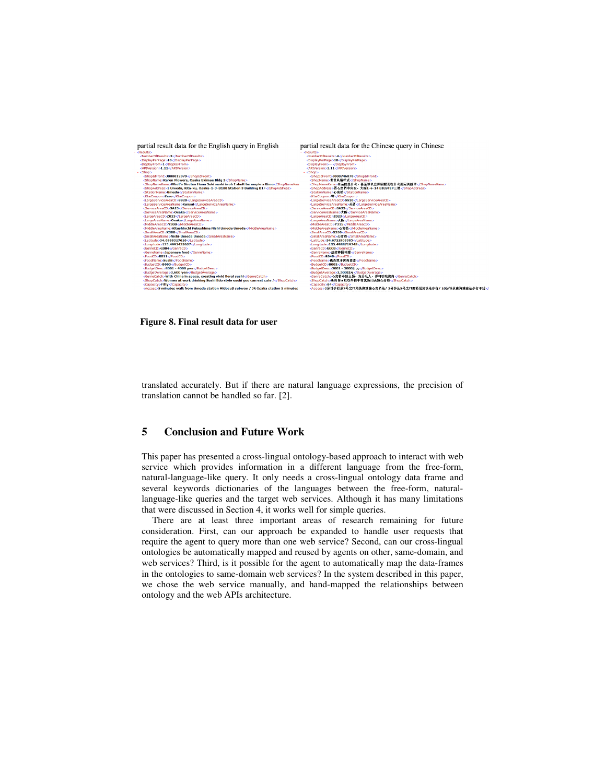

**Figure 8. Final result data for user**

translated accurately. But if there are natural language expressions, the precision of translation cannot be handled so far. [2].

## **5 Conclusion and Future Work**

This paper has presented a cross-lingual ontology-based approach to interact with web service which provides information in a different language from the free-form, natural-language-like query. It only needs a cross-lingual ontology data frame and several keywords dictionaries of the languages between the free-form, naturallanguage-like queries and the target web services. Although it has many limitations that were discussed in Section 4, it works well for simple queries.

There are at least three important areas of research remaining for future consideration. First, can our approach be expanded to handle user requests that require the agent to query more than one web service? Second, can our cross-lingual ontologies be automatically mapped and reused by agents on other, same-domain, and web services? Third, is it possible for the agent to automatically map the data-frames in the ontologies to same-domain web services? In the system described in this paper, we chose the web service manually, and hand-mapped the relationships between ontology and the web APIs architecture.